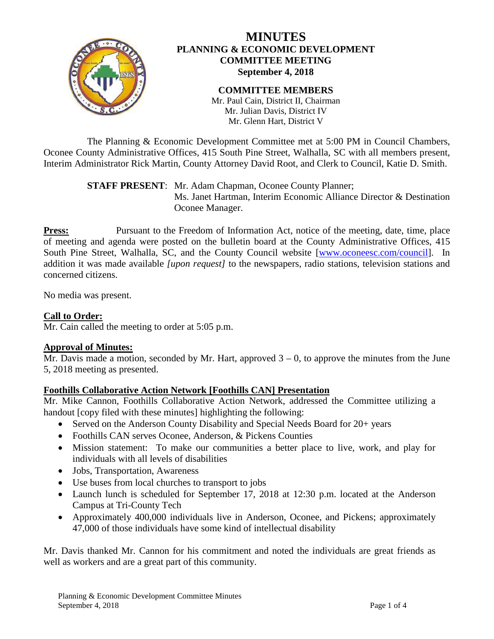

# **MINUTES PLANNING & ECONOMIC DEVELOPMENT COMMITTEE MEETING September 4, 2018**

# **COMMITTEE MEMBERS**

Mr. Paul Cain, District II, Chairman Mr. Julian Davis, District IV Mr. Glenn Hart, District V

The Planning & Economic Development Committee met at 5:00 PM in Council Chambers, Oconee County Administrative Offices, 415 South Pine Street, Walhalla, SC with all members present, Interim Administrator Rick Martin, County Attorney David Root, and Clerk to Council, Katie D. Smith.

> **STAFF PRESENT**: Mr. Adam Chapman, Oconee County Planner; Ms. Janet Hartman, Interim Economic Alliance Director & Destination Oconee Manager.

**Press:** Pursuant to the Freedom of Information Act, notice of the meeting, date, time, place of meeting and agenda were posted on the bulletin board at the County Administrative Offices, 415 South Pine Street, Walhalla, SC, and the County Council website [\[www.oconeesc.com/council\]](http://www.oconeesc.com/council). In addition it was made available *[upon request]* to the newspapers, radio stations, television stations and concerned citizens.

No media was present.

# **Call to Order:**

Mr. Cain called the meeting to order at 5:05 p.m.

## **Approval of Minutes:**

Mr. Davis made a motion, seconded by Mr. Hart, approved  $3 - 0$ , to approve the minutes from the June 5, 2018 meeting as presented.

## **Foothills Collaborative Action Network [Foothills CAN] Presentation**

Mr. Mike Cannon, Foothills Collaborative Action Network, addressed the Committee utilizing a handout [copy filed with these minutes] highlighting the following:

- Served on the Anderson County Disability and Special Needs Board for 20+ years
- Foothills CAN serves Oconee, Anderson, & Pickens Counties
- Mission statement: To make our communities a better place to live, work, and play for individuals with all levels of disabilities
- Jobs, Transportation, Awareness
- Use buses from local churches to transport to jobs
- Launch lunch is scheduled for September 17, 2018 at 12:30 p.m. located at the Anderson Campus at Tri-County Tech
- Approximately 400,000 individuals live in Anderson, Oconee, and Pickens; approximately 47,000 of those individuals have some kind of intellectual disability

Mr. Davis thanked Mr. Cannon for his commitment and noted the individuals are great friends as well as workers and are a great part of this community.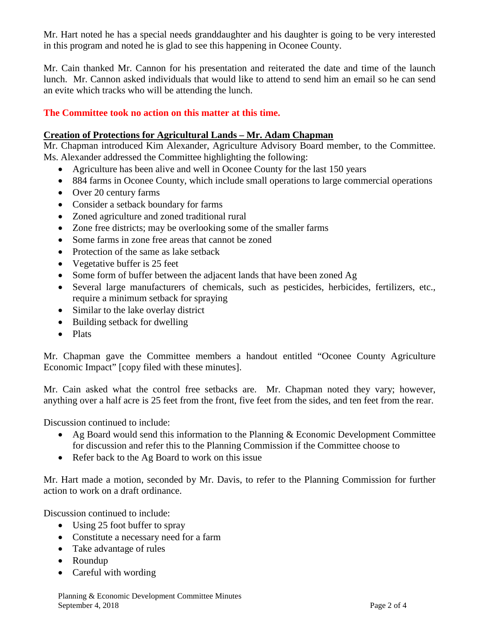Mr. Hart noted he has a special needs granddaughter and his daughter is going to be very interested in this program and noted he is glad to see this happening in Oconee County.

Mr. Cain thanked Mr. Cannon for his presentation and reiterated the date and time of the launch lunch. Mr. Cannon asked individuals that would like to attend to send him an email so he can send an evite which tracks who will be attending the lunch.

## **The Committee took no action on this matter at this time.**

#### **Creation of Protections for Agricultural Lands – Mr. Adam Chapman**

Mr. Chapman introduced Kim Alexander, Agriculture Advisory Board member, to the Committee. Ms. Alexander addressed the Committee highlighting the following:

- Agriculture has been alive and well in Oconee County for the last 150 years
- 884 farms in Oconee County, which include small operations to large commercial operations
- Over 20 century farms
- Consider a setback boundary for farms
- Zoned agriculture and zoned traditional rural
- Zone free districts; may be overlooking some of the smaller farms
- Some farms in zone free areas that cannot be zoned
- Protection of the same as lake setback
- Vegetative buffer is 25 feet
- Some form of buffer between the adjacent lands that have been zoned Ag
- Several large manufacturers of chemicals, such as pesticides, herbicides, fertilizers, etc., require a minimum setback for spraying
- Similar to the lake overlay district
- Building setback for dwelling
- Plats

Mr. Chapman gave the Committee members a handout entitled "Oconee County Agriculture Economic Impact" [copy filed with these minutes].

Mr. Cain asked what the control free setbacks are. Mr. Chapman noted they vary; however, anything over a half acre is 25 feet from the front, five feet from the sides, and ten feet from the rear.

Discussion continued to include:

- Ag Board would send this information to the Planning & Economic Development Committee for discussion and refer this to the Planning Commission if the Committee choose to
- Refer back to the Ag Board to work on this issue

Mr. Hart made a motion, seconded by Mr. Davis, to refer to the Planning Commission for further action to work on a draft ordinance.

Discussion continued to include:

- Using 25 foot buffer to spray
- Constitute a necessary need for a farm
- Take advantage of rules
- Roundup
- Careful with wording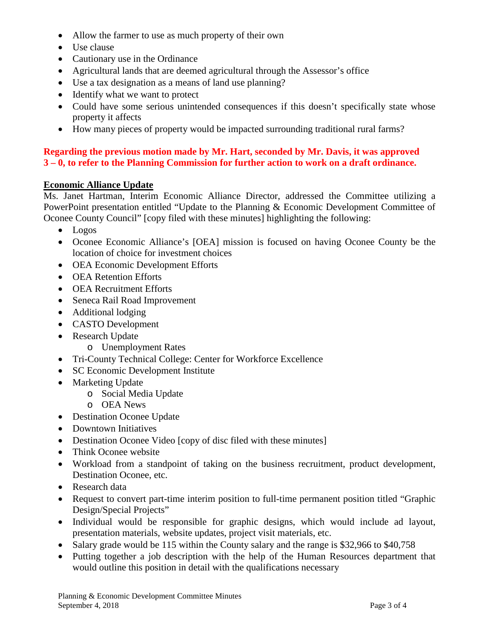- Allow the farmer to use as much property of their own
- Use clause
- Cautionary use in the Ordinance
- Agricultural lands that are deemed agricultural through the Assessor's office
- Use a tax designation as a means of land use planning?
- Identify what we want to protect
- Could have some serious unintended consequences if this doesn't specifically state whose property it affects
- How many pieces of property would be impacted surrounding traditional rural farms?

## **Regarding the previous motion made by Mr. Hart, seconded by Mr. Davis, it was approved 3 – 0, to refer to the Planning Commission for further action to work on a draft ordinance.**

## **Economic Alliance Update**

Ms. Janet Hartman, Interim Economic Alliance Director, addressed the Committee utilizing a PowerPoint presentation entitled "Update to the Planning & Economic Development Committee of Oconee County Council" [copy filed with these minutes] highlighting the following:

- Logos
- Oconee Economic Alliance's [OEA] mission is focused on having Oconee County be the location of choice for investment choices
- OEA Economic Development Efforts
- OEA Retention Efforts
- OEA Recruitment Efforts
- Seneca Rail Road Improvement
- Additional lodging
- CASTO Development
- Research Update
	- o Unemployment Rates
- Tri-County Technical College: Center for Workforce Excellence
- SC Economic Development Institute
- Marketing Update
	- o Social Media Update
	- o OEA News
- Destination Oconee Update
- Downtown Initiatives
- Destination Oconee Video [copy of disc filed with these minutes]
- Think Oconee website
- Workload from a standpoint of taking on the business recruitment, product development, Destination Oconee, etc.
- Research data
- Request to convert part-time interim position to full-time permanent position titled "Graphic Design/Special Projects"
- Individual would be responsible for graphic designs, which would include ad layout, presentation materials, website updates, project visit materials, etc.
- Salary grade would be 115 within the County salary and the range is \$32,966 to \$40,758
- Putting together a job description with the help of the Human Resources department that would outline this position in detail with the qualifications necessary